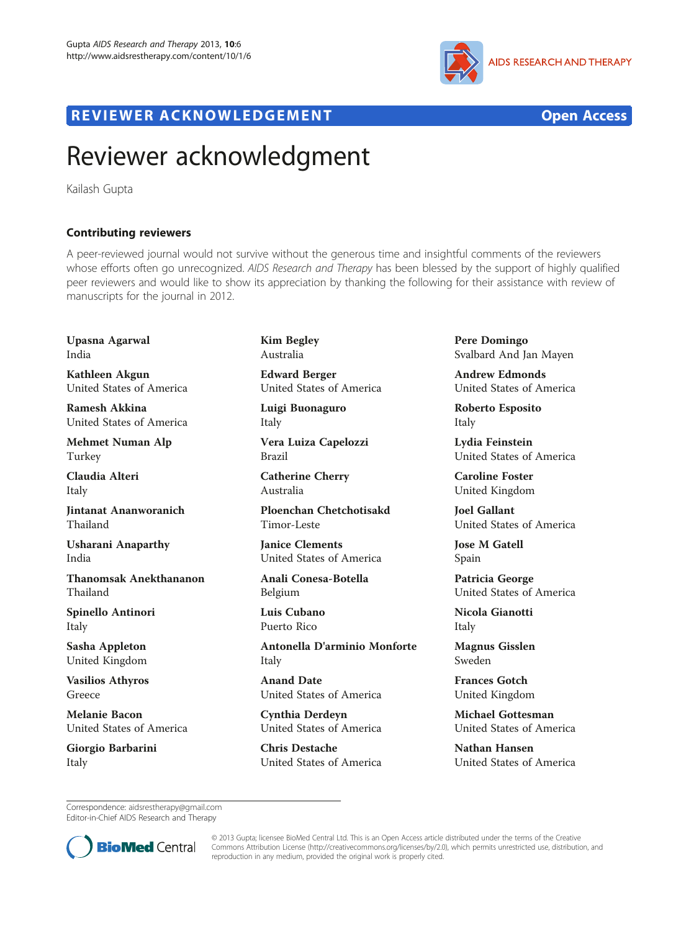

## R EVI EW E R ACKNOW L EDG EM EN T Open Access

## Reviewer acknowledgment

Kailash Gupta

## Contributing reviewers

A peer-reviewed journal would not survive without the generous time and insightful comments of the reviewers whose efforts often go unrecognized. AIDS Research and Therapy has been blessed by the support of highly qualified peer reviewers and would like to show its appreciation by thanking the following for their assistance with review of manuscripts for the journal in 2012.

Upasna Agarwal India

Kathleen Akgun United States of America

Ramesh Akkina United States of America

Mehmet Numan Alp Turkey

Claudia Alteri Italy

Jintanat Ananworanich Thailand

Usharani Anaparthy India

Thanomsak Anekthananon Thailand

Spinello Antinori Italy

Sasha Appleton United Kingdom

Vasilios Athyros Greece

Melanie Bacon United States of America

Giorgio Barbarini Italy

Kim Begley Australia

Edward Berger United States of America

Luigi Buonaguro Italy

Vera Luiza Capelozzi Brazil

Catherine Cherry Australia

Ploenchan Chetchotisakd Timor-Leste

Janice Clements United States of America

Anali Conesa-Botella Belgium

Luis Cubano Puerto Rico

Antonella D'arminio Monforte Italy

Anand Date United States of America

Cynthia Derdeyn United States of America

Chris Destache United States of America Pere Domingo Svalbard And Jan Mayen

Andrew Edmonds United States of America

Roberto Esposito Italy

Lydia Feinstein United States of America

Caroline Foster United Kingdom

Joel Gallant United States of America

Jose M Gatell Spain

Patricia George United States of America

Nicola Gianotti Italy

Magnus Gisslen Sweden

Frances Gotch United Kingdom

Michael Gottesman United States of America

Nathan Hansen United States of America

Correspondence: [aidsrestherapy@gmail.com](mailto:aidsrestherapy@gmail.com) Editor-in-Chief AIDS Research and Therapy



© 2013 Gupta; licensee BioMed Central Ltd. This is an Open Access article distributed under the terms of the Creative Commons Attribution License [\(http://creativecommons.org/licenses/by/2.0\)](http://creativecommons.org/licenses/by/2.0), which permits unrestricted use, distribution, and reproduction in any medium, provided the original work is properly cited.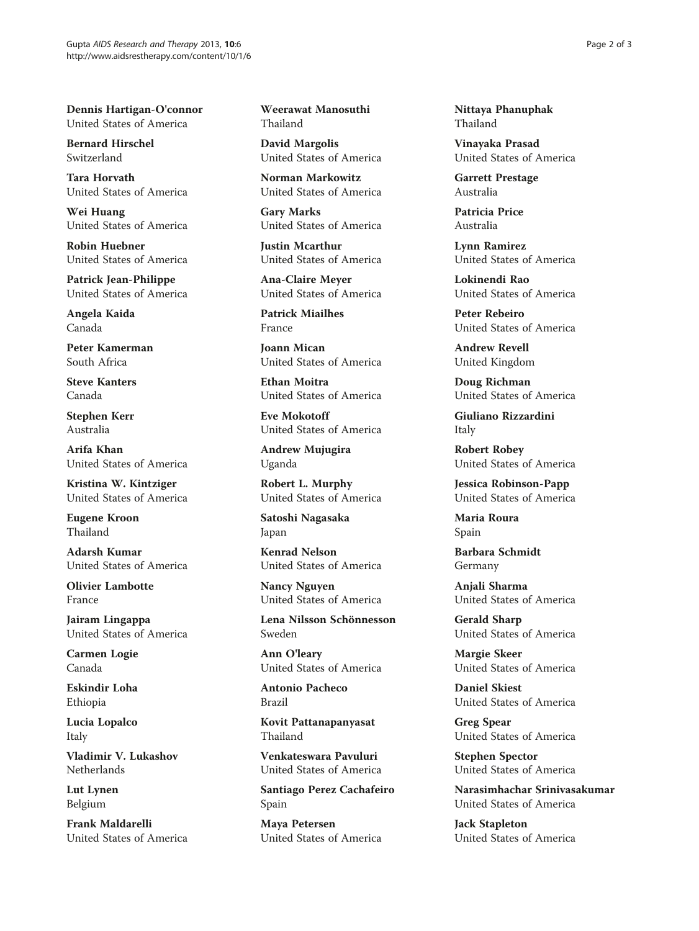Dennis Hartigan-O'connor United States of America

Bernard Hirschel Switzerland

Tara Horvath United States of America

Wei Huang United States of America

Robin Huebner United States of America

Patrick Jean-Philippe United States of America

Angela Kaida Canada

Peter Kamerman South Africa

Steve Kanters Canada

Stephen Kerr Australia

Arifa Khan United States of America

Kristina W. Kintziger United States of America

Eugene Kroon Thailand

Adarsh Kumar United States of America

Olivier Lambotte France

Jairam Lingappa United States of America

Carmen Logie Canada

Eskindir Loha Ethiopia

Lucia Lopalco Italy

Vladimir V. Lukashov Netherlands

Lut Lynen Belgium

Frank Maldarelli United States of America Weerawat Manosuthi Thailand

David Margolis United States of America

Norman Markowitz United States of America

Gary Marks United States of America

Justin Mcarthur United States of America

Ana-Claire Meyer United States of America

Patrick Miailhes France

Joann Mican United States of America

Ethan Moitra United States of America

Eve Mokotoff United States of America

Andrew Mujugira Uganda

Robert L. Murphy United States of America

Satoshi Nagasaka Japan

Kenrad Nelson United States of America

Nancy Nguyen United States of America

Lena Nilsson Schönnesson Sweden

Ann O'leary United States of America

Antonio Pacheco Brazil

Kovit Pattanapanyasat Thailand

Venkateswara Pavuluri United States of America

Santiago Perez Cachafeiro Spain

Maya Petersen United States of America Nittaya Phanuphak Thailand

Vinayaka Prasad United States of America

Garrett Prestage Australia

Patricia Price Australia

Lynn Ramirez United States of America

Lokinendi Rao United States of America

Peter Rebeiro United States of America

Andrew Revell United Kingdom

Doug Richman United States of America

Giuliano Rizzardini Italy

Robert Robey United States of America

Jessica Robinson-Papp United States of America

Maria Roura Spain

Barbara Schmidt Germany

Anjali Sharma United States of America

Gerald Sharp United States of America

Margie Skeer United States of America

Daniel Skiest United States of America

Greg Spear United States of America

Stephen Spector United States of America

Narasimhachar Srinivasakumar United States of America

Jack Stapleton United States of America